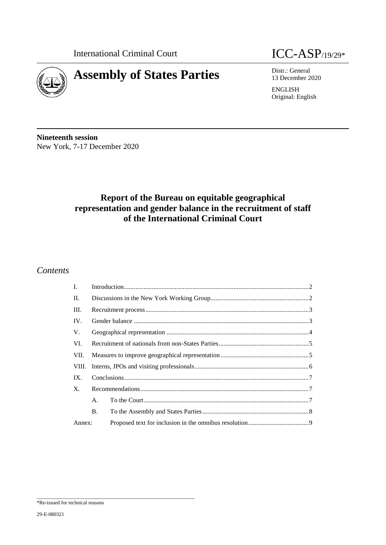

13 December 2020

ENGLISH Original: English

**Nineteenth session** New York, 7-17 December 2020

# **Report of the Bureau on equitable geographical representation and gender balance in the recruitment of staff of the International Criminal Court**

## *Contents*

| Ι.          |           |  |  |
|-------------|-----------|--|--|
| П.          |           |  |  |
| III.        |           |  |  |
| IV.         |           |  |  |
| V.          |           |  |  |
| VI.         |           |  |  |
| VII.        |           |  |  |
| VIII.       |           |  |  |
| IX.         |           |  |  |
| $X_{\cdot}$ |           |  |  |
|             | A.        |  |  |
|             | <b>B.</b> |  |  |
| Annex:      |           |  |  |

\_\_\_\_\_\_\_\_\_\_\_\_\_\_\_\_\_\_\_\_\_\_\_\_\_\_\_\_\_\_\_\_\_\_\_\_\_\_\_\_\_\_\_\_\_\_\_\_\_\_\_\_\_\_\_\_\_\_\_\_\_

<sup>\*</sup>Re-issued for technical reasons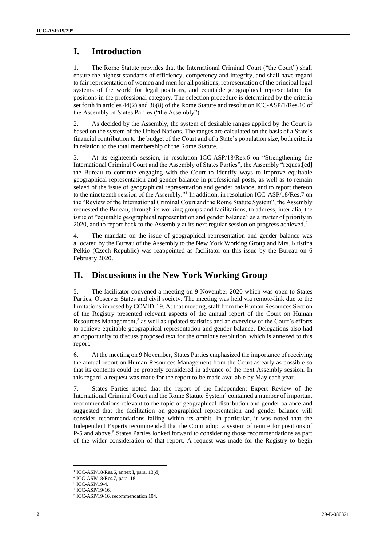# <span id="page-1-0"></span>**I. Introduction**

1. The Rome Statute provides that the International Criminal Court ("the Court") shall ensure the highest standards of efficiency, competency and integrity, and shall have regard to fair representation of women and men for all positions, representation of the principal legal systems of the world for legal positions, and equitable geographical representation for positions in the professional category. The selection procedure is determined by the criteria set forth in articles 44(2) and 36(8) of the Rome Statute and resolution ICC-ASP/1/Res.10 of the Assembly of States Parties ("the Assembly").

2. As decided by the Assembly, the system of desirable ranges applied by the Court is based on the system of the United Nations. The ranges are calculated on the basis of a State's financial contribution to the budget of the Court and of a State's population size, both criteria in relation to the total membership of the Rome Statute.

3. At its eighteenth session, in resolution ICC-ASP/18/Res.6 on "Strengthening the International Criminal Court and the Assembly of States Parties", the Assembly "request[ed] the Bureau to continue engaging with the Court to identify ways to improve equitable geographical representation and gender balance in professional posts, as well as to remain seized of the issue of geographical representation and gender balance, and to report thereon to the nineteenth session of the Assembly."<sup>1</sup> In addition, in resolution ICC-ASP/18/Res.7 on the "Review of the International Criminal Court and the Rome Statute System", the Assembly requested the Bureau, through its working groups and facilitations, to address, inter alia, the issue of "equitable geographical representation and gender balance" as a matter of priority in 2020, and to report back to the Assembly at its next regular session on progress achieved.<sup>2</sup>

4. The mandate on the issue of geographical representation and gender balance was allocated by the Bureau of the Assembly to the New York Working Group and Mrs. Kristina Pelkiö (Czech Republic) was reappointed as facilitator on this issue by the Bureau on 6 February 2020.

# <span id="page-1-1"></span>**II. Discussions in the New York Working Group**

5. The facilitator convened a meeting on 9 November 2020 which was open to States Parties, Observer States and civil society. The meeting was held via remote-link due to the limitations imposed by COVID-19. At that meeting, staff from the Human Resources Section of the Registry presented relevant aspects of the annual report of the Court on Human Resources Management,<sup>3</sup> as well as updated statistics and an overview of the Court's efforts to achieve equitable geographical representation and gender balance. Delegations also had an opportunity to discuss proposed text for the omnibus resolution, which is annexed to this report.

6. At the meeting on 9 November, States Parties emphasized the importance of receiving the annual report on Human Resources Management from the Court as early as possible so that its contents could be properly considered in advance of the next Assembly session. In this regard, a request was made for the report to be made available by May each year.

7. States Parties noted that the report of the Independent Expert Review of the International Criminal Court and the Rome Statute System<sup>4</sup> contained a number of important recommendations relevant to the topic of geographical distribution and gender balance and suggested that the facilitation on geographical representation and gender balance will consider recommendations falling within its ambit. In particular, it was noted that the Independent Experts recommended that the Court adopt a system of tenure for positions of P-5 and above.<sup>5</sup> States Parties looked forward to considering those recommendations as part of the wider consideration of that report. A request was made for the Registry to begin

 $\overline{a}$ 

<sup>1</sup> ICC-ASP/18/Res.6, annex I, para. 13(d).

<sup>2</sup> ICC-ASP/18/Res.7, para. 18.

<sup>3</sup> ICC-ASP/19/4.

<sup>4</sup> ICC-ASP/19/16.

<sup>5</sup> ICC-ASP/19/16, recommendation 104.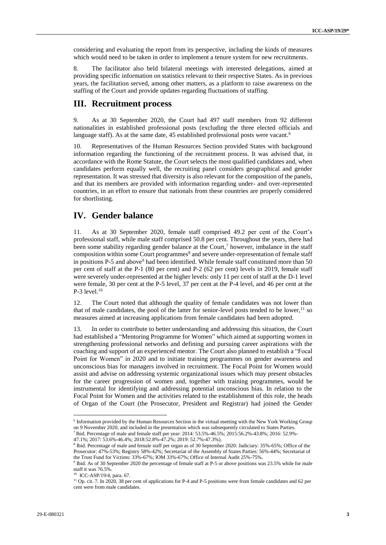considering and evaluating the report from its perspective, including the kinds of measures which would need to be taken in order to implement a tenure system for new recruitments.

8. The facilitator also held bilateral meetings with interested delegations, aimed at providing specific information on statistics relevant to their respective States. As in previous years, the facilitation served, among other matters, as a platform to raise awareness on the staffing of the Court and provide updates regarding fluctuations of staffing.

## <span id="page-2-0"></span>**III. Recruitment process**

9. As at 30 September 2020, the Court had 497 staff members from 92 different nationalities in established professional posts (excluding the three elected officials and language staff). As at the same date, 45 established professional posts were vacant.<sup>6</sup>

10. Representatives of the Human Resources Section provided States with background information regarding the functioning of the recruitment process. It was advised that, in accordance with the Rome Statute, the Court selects the most qualified candidates and, when candidates perform equally well, the recruiting panel considers geographical and gender representation. It was stressed that diversity is also relevant for the composition of the panels, and that its members are provided with information regarding under- and over-represented countries, in an effort to ensure that nationals from these countries are properly considered for shortlisting.

## <span id="page-2-1"></span>**IV. Gender balance**

11. As at 30 September 2020, female staff comprised 49.2 per cent of the Court's professional staff, while male staff comprised 50.8 per cent. Throughout the years, there had been some stability regarding gender balance at the Court,<sup>7</sup> however, imbalance in the staff composition within some Court programmes<sup>8</sup> and severe under-representation of female staff in positions P-5 and above<sup>9</sup> had been identified. While female staff constituted more than 50 per cent of staff at the P-1 (80 per cent) and P-2 (62 per cent) levels in 2019, female staff were severely under-represented at the higher levels: only 11 per cent of staff at the D-1 level were female, 30 per cent at the P-5 level, 37 per cent at the P-4 level, and 46 per cent at the  $P-3$  level.<sup>10</sup>

12. The Court noted that although the quality of female candidates was not lower than that of male candidates, the pool of the latter for senior-level posts tended to be lower,  $\frac{11}{1}$  so measures aimed at increasing applications from female candidates had been adopted.

13. In order to contribute to better understanding and addressing this situation, the Court had established a "Mentoring Programme for Women" which aimed at supporting women in strengthening professional networks and defining and pursuing career aspirations with the coaching and support of an experienced mentor. The Court also planned to establish a "Focal Point for Women" in 2020 and to initiate training programmes on gender awareness and unconscious bias for managers involved in recruitment. The Focal Point for Women would assist and advise on addressing systemic organizational issues which may present obstacles for the career progression of women and, together with training programmes, would be instrumental for identifying and addressing potential unconscious bias. In relation to the Focal Point for Women and the activities related to the establishment of this role, the heads of Organ of the Court (the Prosecutor, President and Registrar) had joined the Gender

<sup>6</sup> Information provided by the Human Resources Section in the virtual meeting with the New York Working Group on 9 November 2020, and included in the presentation which was subsequently circulated to States Parties.

<sup>7</sup> Ibid. Percentage of male and female staff per year: 2014: 53.5%-46.5%; 2015:56.2%-43.8%; 2016: 52.9%-

<sup>47.1%; 2017: 53.6%-46.4%; 2018:52.8%-47.2%; 2019: 52.7%-47.3%).</sup>

<sup>8</sup> Ibid. Percentage of male and female staff per organ as of 30 September 2020: Judiciary: 35%-65%; Office of the Prosecutor: 47%-53%; Registry 58%-42%; Secretariat of the Assembly of States Parties: 56%-44%; Secretariat of the Trust Fund for Victims: 33%-67%; IOM 33%-67%; Office of Internal Audit 25%-75%.

<sup>9</sup> Ibid. As of 30 September 2020 the percentage of female staff at P-5 or above positions was 23.5% while for male staff it was 76.5%. 10 ICC-ASP/19/4, para. 67.

<sup>&</sup>lt;sup>11</sup> Op. cit. 7. In 2020, 38 per cent of applications for P-4 and P-5 positions were from female candidates and 62 per cent were from male candidates.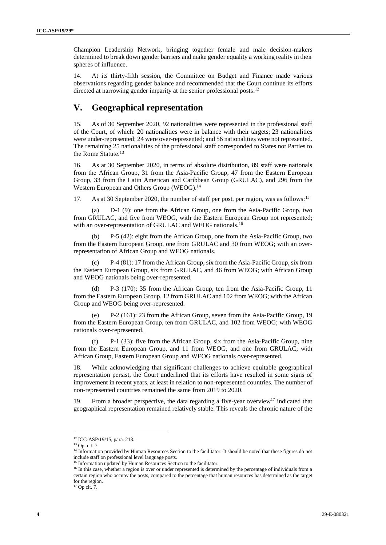Champion Leadership Network, bringing together female and male decision-makers determined to break down gender barriers and make gender equality a working reality in their spheres of influence.

14. At its thirty-fifth session, the Committee on Budget and Finance made various observations regarding gender balance and recommended that the Court continue its efforts directed at narrowing gender imparity at the senior professional posts.<sup>12</sup>

# <span id="page-3-0"></span>**V. Geographical representation**

15. As of 30 September 2020, 92 nationalities were represented in the professional staff of the Court, of which: 20 nationalities were in balance with their targets; 23 nationalities were under-represented; 24 were over-represented; and 56 nationalities were not represented. The remaining 25 nationalities of the professional staff corresponded to States not Parties to the Rome Statute.<sup>13</sup>

16. As at 30 September 2020, in terms of absolute distribution, 89 staff were nationals from the African Group, 31 from the Asia-Pacific Group, 47 from the Eastern European Group, 33 from the Latin American and Caribbean Group (GRULAC), and 296 from the Western European and Others Group (WEOG).<sup>14</sup>

17. As at 30 September 2020, the number of staff per post, per region, was as follows:<sup>15</sup>

D-1 (9): one from the African Group, one from the Asia-Pacific Group, two from GRULAC, and five from WEOG, with the Eastern European Group not represented; with an over-representation of GRULAC and WEOG nationals.<sup>16</sup>

(b) P-5 (42): eight from the African Group, one from the Asia-Pacific Group, two from the Eastern European Group, one from GRULAC and 30 from WEOG; with an overrepresentation of African Group and WEOG nationals.

(c) P-4 (81): 17 from the African Group, six from the Asia-Pacific Group, six from the Eastern European Group, six from GRULAC, and 46 from WEOG; with African Group and WEOG nationals being over-represented.

P-3 (170): 35 from the African Group, ten from the Asia-Pacific Group, 11 from the Eastern European Group, 12 from GRULAC and 102 from WEOG; with the African Group and WEOG being over-represented.

(e) P-2 (161): 23 from the African Group, seven from the Asia-Pacific Group, 19 from the Eastern European Group, ten from GRULAC, and 102 from WEOG; with WEOG nationals over-represented.

(f) P-1 (33): five from the African Group, six from the Asia-Pacific Group, nine from the Eastern European Group, and 11 from WEOG, and one from GRULAC; with African Group, Eastern European Group and WEOG nationals over-represented.

18. While acknowledging that significant challenges to achieve equitable geographical representation persist, the Court underlined that its efforts have resulted in some signs of improvement in recent years, at least in relation to non-represented countries. The number of non-represented countries remained the same from 2019 to 2020.

19. From a broader perspective, the data regarding a five-year overview<sup>17</sup> indicated that geographical representation remained relatively stable. This reveals the chronic nature of the

 $\overline{a}$ 

<sup>&</sup>lt;sup>12</sup> ICC-ASP/19/15, para. 213.

<sup>13</sup> Op. cit. 7.

<sup>&</sup>lt;sup>14</sup> Information provided by Human Resources Section to the facilitator. It should be noted that these figures do not include staff on professional level language posts.

<sup>&</sup>lt;sup>15</sup> Information updated by Human Resources Section to the facilitator.

<sup>&</sup>lt;sup>16</sup> In this case, whether a region is over or under represented is determined by the percentage of individuals from a certain region who occupy the posts, compared to the percentage that human resources has determined as the target for the region.

<sup>&</sup>lt;sup>17</sup> Op cit. 7.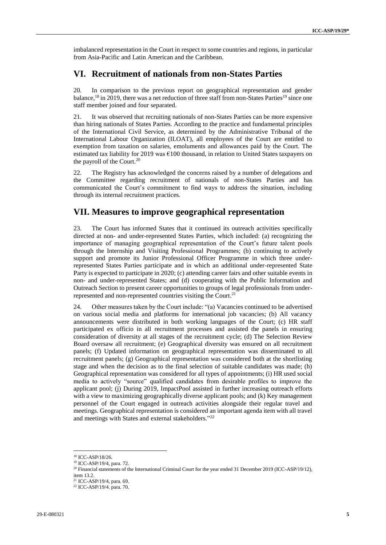imbalanced representation in the Court in respect to some countries and regions, in particular from Asia-Pacific and Latin American and the Caribbean.

### <span id="page-4-0"></span>**VI. Recruitment of nationals from non-States Parties**

20. In comparison to the previous report on geographical representation and gender balance, <sup>18</sup> in 2019, there was a net reduction of three staff from non-States Parties<sup>19</sup> since one staff member joined and four separated.

21. It was observed that recruiting nationals of non-States Parties can be more expensive than hiring nationals of States Parties. According to the practice and fundamental principles of the International Civil Service, as determined by the Administrative Tribunal of the International Labour Organization (ILOAT), all employees of the Court are entitled to exemption from taxation on salaries, emoluments and allowances paid by the Court. The estimated tax liability for 2019 was  $\epsilon$ 100 thousand, in relation to United States taxpayers on the payroll of the Court.<sup>20</sup>

22. The Registry has acknowledged the concerns raised by a number of delegations and the Committee regarding recruitment of nationals of non-States Parties and has communicated the Court's commitment to find ways to address the situation, including through its internal recruitment practices.

# <span id="page-4-1"></span>**VII. Measures to improve geographical representation**

23. The Court has informed States that it continued its outreach activities specifically directed at non- and under-represented States Parties, which included: (a) recognizing the importance of managing geographical representation of the Court's future talent pools through the Internship and Visiting Professional Programmes; (b) continuing to actively support and promote its Junior Professional Officer Programme in which three underrepresented States Parties participate and in which an additional under-represented State Party is expected to participate in 2020; (c) attending career fairs and other suitable events in non- and under-represented States; and (d) cooperating with the Public Information and Outreach Section to present career opportunities to groups of legal professionals from underrepresented and non-represented countries visiting the Court. 21

24. Other measures taken by the Court include: "(a) Vacancies continued to be advertised on various social media and platforms for international job vacancies; (b) All vacancy announcements were distributed in both working languages of the Court; (c) HR staff participated ex officio in all recruitment processes and assisted the panels in ensuring consideration of diversity at all stages of the recruitment cycle; (d) The Selection Review Board oversaw all recruitment; (e) Geographical diversity was ensured on all recruitment panels; (f) Updated information on geographical representation was disseminated to all recruitment panels; (g) Geographical representation was considered both at the shortlisting stage and when the decision as to the final selection of suitable candidates was made; (h) Geographical representation was considered for all types of appointments; (i) HR used social media to actively "source" qualified candidates from desirable profiles to improve the applicant pool; (j) During 2019, ImpactPool assisted in further increasing outreach efforts with a view to maximizing geographically diverse applicant pools; and (k) Key management personnel of the Court engaged in outreach activities alongside their regular travel and meetings. Geographical representation is considered an important agenda item with all travel and meetings with States and external stakeholders." 22

 $\overline{a}$ 

<sup>18</sup> ICC-ASP/18/26.

<sup>19</sup> ICC-ASP/19/4, para. 72.

 $^{20}$  Financial statements of the International Criminal Court for the year ended 31 December 2019 (ICC-ASP/19/12), item 13.2.

<sup>21</sup> ICC-ASP/19/4, para. 69.

<sup>22</sup> ICC-ASP/19/4. para. 70.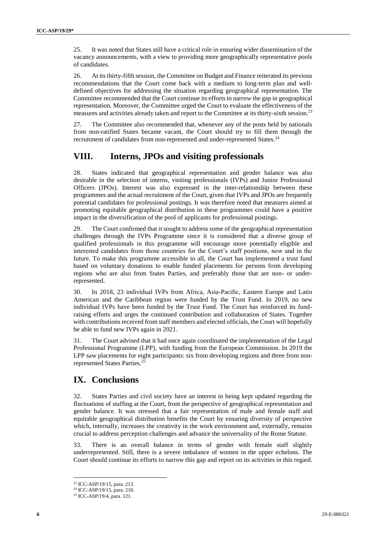25. It was noted that States still have a critical role in ensuring wider dissemination of the vacancy announcements, with a view to providing more geographically representative pools of candidates.

26. At its thirty-fifth session, the Committee on Budget and Finance reiterated its previous recommendations that the Court come back with a medium to long-term plan and welldefined objectives for addressing the situation regarding geographical representation. The Committee recommended that the Court continue its efforts to narrow the gap in geographical representation. Moreover, the Committee urged the Court to evaluate the effectiveness of the measures and activities already taken and report to the Committee at its thirty-sixth session.<sup>23</sup>

27. The Committee also recommended that, whenever any of the posts held by nationals from non-ratified States became vacant, the Court should try to fill them through the recruitment of candidates from non-represented and under-represented States.<sup>24</sup>

# <span id="page-5-0"></span>**VIII. Interns, JPOs and visiting professionals**

28. States indicated that geographical representation and gender balance was also desirable in the selection of interns, visiting professionals (IVPs) and Junior Professional Officers (JPOs). Interest was also expressed in the inter-relationship between these programmes and the actual recruitment of the Court, given that IVPs and JPOs are frequently potential candidates for professional postings. It was therefore noted that measures aimed at promoting equitable geographical distribution in these programmes could have a positive impact in the diversification of the pool of applicants for professional postings.

The Court confirmed that it sought to address some of the geographical representation challenges through the IVPs Programme since it is considered that a diverse group of qualified professionals in this programme will encourage more potentially eligible and interested candidates from those countries for the Court's staff positions, now and in the future. To make this programme accessible to all, the Court has implemented a trust fund based on voluntary donations to enable funded placements for persons from developing regions who are also from States Parties, and preferably those that are non- or underrepresented.

30. In 2018, 23 individual IVPs from Africa, Asia-Pacific, Eastern Europe and Latin American and the Caribbean region were funded by the Trust Fund. In 2019, no new individual IVPs have been funded by the Trust Fund. The Court has reinforced its fundraising efforts and urges the continued contribution and collaboration of States. Together with contributions received from staff members and elected officials, the Court will hopefully be able to fund new IVPs again in 2021.

31. The Court advised that it had once again coordinated the implementation of the Legal Professional Programme (LPP), with funding from the European Commission. In 2019 the LPP saw placements for eight participants: six from developing regions and three from nonrepresented States Parties. 25

# **IX. Conclusions**

32. States Parties and civil society have an interest in being kept updated regarding the fluctuations of staffing at the Court, from the perspective of geographical representation and gender balance. It was stressed that a fair representation of male and female staff and equitable geographical distribution benefits the Court by ensuring diversity of perspective which, internally, increases the creativity in the work environment and, externally, remains crucial to address perception challenges and advance the universality of the Rome Statute.

33. There is an overall balance in terms of gender with female staff slightly underrepresented. Still, there is a severe imbalance of women in the upper echelons. The Court should continue its efforts to narrow this gap and report on its activities in this regard.

 $\overline{a}$ <sup>23</sup> ICC-ASP/19/15, para. 213.

<sup>24</sup> ICC-ASP/19/15, para. 210.

<sup>25</sup> ICC-ASP/19/4, para. 121.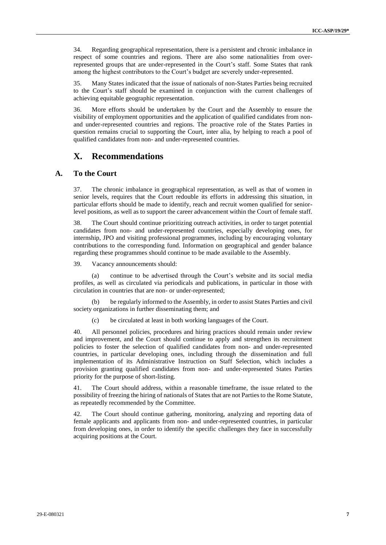34. Regarding geographical representation, there is a persistent and chronic imbalance in respect of some countries and regions. There are also some nationalities from overrepresented groups that are under-represented in the Court's staff. Some States that rank among the highest contributors to the Court's budget are severely under-represented.

35. Many States indicated that the issue of nationals of non-States Parties being recruited to the Court's staff should be examined in conjunction with the current challenges of achieving equitable geographic representation.

36. More efforts should be undertaken by the Court and the Assembly to ensure the visibility of employment opportunities and the application of qualified candidates from nonand under-represented countries and regions. The proactive role of the States Parties in question remains crucial to supporting the Court, inter alia, by helping to reach a pool of qualified candidates from non- and under-represented countries.

# <span id="page-6-1"></span><span id="page-6-0"></span>**X. Recommendations**

## **A. To the Court**

37. The chronic imbalance in geographical representation, as well as that of women in senior levels, requires that the Court redouble its efforts in addressing this situation, in particular efforts should be made to identify, reach and recruit women qualified for seniorlevel positions, as well as to support the career advancement within the Court of female staff.

38. The Court should continue prioritizing outreach activities, in order to target potential candidates from non- and under-represented countries, especially developing ones, for internship, JPO and visiting professional programmes, including by encouraging voluntary contributions to the corresponding fund. Information on geographical and gender balance regarding these programmes should continue to be made available to the Assembly.

39. Vacancy announcements should:

(a) continue to be advertised through the Court's website and its social media profiles, as well as circulated via periodicals and publications, in particular in those with circulation in countries that are non- or under-represented;

(b) be regularly informed to the Assembly, in order to assist States Parties and civil society organizations in further disseminating them; and

(c) be circulated at least in both working languages of the Court.

40. All personnel policies, procedures and hiring practices should remain under review and improvement, and the Court should continue to apply and strengthen its recruitment policies to foster the selection of qualified candidates from non- and under-represented countries, in particular developing ones, including through the dissemination and full implementation of its Administrative Instruction on Staff Selection, which includes a provision granting qualified candidates from non- and under-represented States Parties priority for the purpose of short-listing.

41. The Court should address, within a reasonable timeframe, the issue related to the possibility of freezing the hiring of nationals of States that are not Parties to the Rome Statute, as repeatedly recommended by the Committee.

42. The Court should continue gathering, monitoring, analyzing and reporting data of female applicants and applicants from non- and under-represented countries, in particular from developing ones, in order to identify the specific challenges they face in successfully acquiring positions at the Court.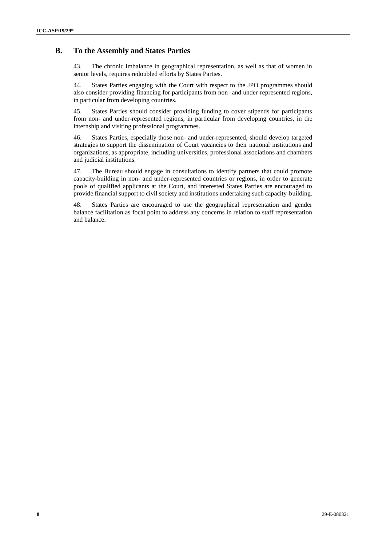#### **B. To the Assembly and States Parties**

<span id="page-7-0"></span>43. The chronic imbalance in geographical representation, as well as that of women in senior levels, requires redoubled efforts by States Parties.

44. States Parties engaging with the Court with respect to the JPO programmes should also consider providing financing for participants from non- and under-represented regions, in particular from developing countries.

45. States Parties should consider providing funding to cover stipends for participants from non- and under-represented regions, in particular from developing countries, in the internship and visiting professional programmes.

46. States Parties, especially those non- and under-represented, should develop targeted strategies to support the dissemination of Court vacancies to their national institutions and organizations, as appropriate, including universities, professional associations and chambers and judicial institutions.

47. The Bureau should engage in consultations to identify partners that could promote capacity-building in non- and under-represented countries or regions, in order to generate pools of qualified applicants at the Court, and interested States Parties are encouraged to provide financial support to civil society and institutions undertaking such capacity-building.

48. States Parties are encouraged to use the geographical representation and gender balance facilitation as focal point to address any concerns in relation to staff representation and balance.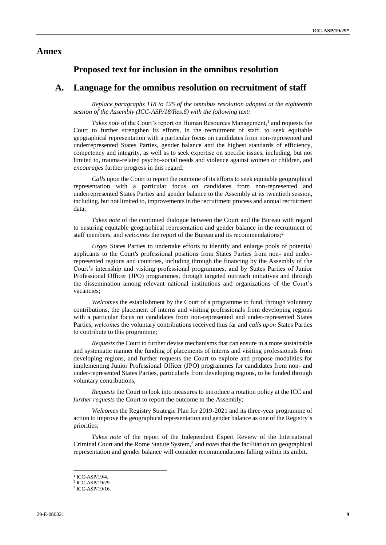#### <span id="page-8-0"></span>**Annex**

#### **Proposed text for inclusion in the omnibus resolution**

#### **A. Language for the omnibus resolution on recruitment of staff**

*Replace paragraphs 118 to 125 of the omnibus resolution adopted at the eighteenth session of the Assembly (ICC-ASP/18/Res.6) with the following text:*

Takes note of the Court's report on Human Resources Management,<sup>1</sup> and requests the Court to further strengthen its efforts, in the recruitment of staff, to seek equitable geographical representation with a particular focus on candidates from non-represented and underrepresented States Parties, gender balance and the highest standards of efficiency, competency and integrity, as well as to seek expertise on specific issues, including, but not limited to, trauma-related psycho-social needs and violence against women or children, and *encourages* further progress in this regard;

*Calls* upon the Court to report the outcome of its efforts to seek equitable geographical representation with a particular focus on candidates from non-represented and underrepresented States Parties and gender balance to the Assembly at its twentieth session, including, but not limited to, improvements in the recruitment process and annual recruitment data;

*Takes note* of the continued dialogue between the Court and the Bureau with regard to ensuring equitable geographical representation and gender balance in the recruitment of staff members, and *welcomes* the report of the Bureau and its recommendations;<sup>2</sup>

*Urges* States Parties to undertake efforts to identify and enlarge pools of potential applicants to the Court's professional positions from States Parties from non- and underrepresented regions and countries, including through the financing by the Assembly of the Court's internship and visiting professional programmes, and by States Parties of Junior Professional Officer (JPO) programmes, through targeted outreach initiatives and through the dissemination among relevant national institutions and organizations of the Court's vacancies;

*Welcomes* the establishment by the Court of a programme to fund, through voluntary contributions, the placement of interns and visiting professionals from developing regions with a particular focus on candidates from non-represented and under-represented States Parties, *welcomes* the voluntary contributions received thus far and *calls upon* States Parties to contribute to this programme;

*Requests* the Court to further devise mechanisms that can ensure in a more sustainable and systematic manner the funding of placements of interns and visiting professionals from developing regions, and further requests the Court to explore and propose modalities for implementing Junior Professional Officer (JPO) programmes for candidates from non- and under-represented States Parties, particularly from developing regions, to be funded through voluntary contributions;

*Requests* the Court to look into measures to introduce a rotation policy at the ICC and *further requests* the Court to report the outcome to the Assembly;

*Welcomes* the Registry Strategic Plan for 2019-2021 and its three-year programme of action to improve the geographical representation and gender balance as one of the Registry´s priorities;

*Takes note* of the report of the Independent Expert Review of the International Criminal Court and the Rome Statute System, 3 and *notes* that the facilitation on geographical representation and gender balance will consider recommendations falling within its ambit.

<sup>1</sup> ICC-ASP/19/4.

<sup>2</sup> ICC-ASP/19/29.

<sup>3</sup> ICC-ASP/19/16.